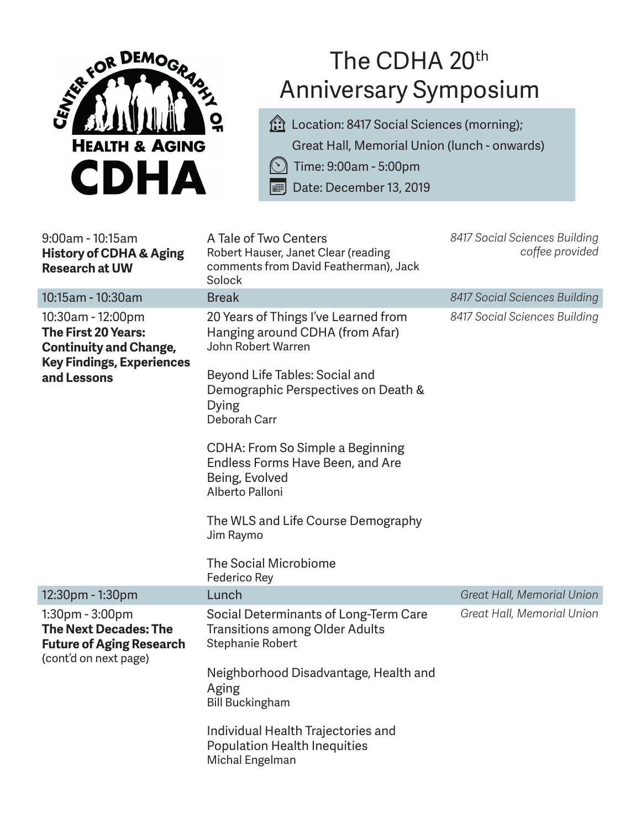

## The CDHA 20<sup>th</sup> Anniversary Symposium

**follocation: 8417 Social Sciences (morning);** Great Hall, Memorial Union (lunch - onwards)

⏲ Time: 9:00am - 5:00pm

Date: December 13, 2019

| 9:00am - 10:15am<br><b>History of CDHA &amp; Aging</b><br><b>Research at UW</b>                                   | A Tale of Two Centers<br>Robert Hauser, Janet Clear (reading<br>comments from David Featherman), Jack<br>Solock | 8417 Social Sciences Building<br>coffee provided |
|-------------------------------------------------------------------------------------------------------------------|-----------------------------------------------------------------------------------------------------------------|--------------------------------------------------|
| 10:15am - 10:30am                                                                                                 | <b>Break</b>                                                                                                    | 8417 Social Sciences Building                    |
| 10:30am - 12:00pm<br>The First 20 Years:<br><b>Continuity and Change,</b><br><b>Key Findings, Experiences</b>     | 20 Years of Things I've Learned from<br>Hanging around CDHA (from Afar)<br>John Robert Warren                   | 8417 Social Sciences Building                    |
| and Lessons                                                                                                       | Beyond Life Tables: Social and<br>Demographic Perspectives on Death &<br><b>Dying</b><br>Deborah Carr           |                                                  |
|                                                                                                                   | CDHA: From So Simple a Beginning<br>Endless Forms Have Been, and Are<br>Being, Evolved<br>Alberto Palloni       |                                                  |
|                                                                                                                   | The WLS and Life Course Demography<br>Jim Raymo                                                                 |                                                  |
|                                                                                                                   | The Social Microbiome<br>Federico Rey                                                                           |                                                  |
| 12:30pm - 1:30pm                                                                                                  | Lunch                                                                                                           | Great Hall, Memorial Union                       |
| $1:30$ pm - $3:00$ pm<br><b>The Next Decades: The</b><br><b>Future of Aging Research</b><br>(cont'd on next page) | Social Determinants of Long-Term Care<br><b>Transitions among Older Adults</b><br>Stephanie Robert              | Great Hall, Memorial Union                       |
|                                                                                                                   | Neighborhood Disadvantage, Health and<br>Aging<br><b>Bill Buckingham</b>                                        |                                                  |
|                                                                                                                   | Individual Health Trajectories and<br><b>Population Health Inequities</b><br>Michal Engelman                    |                                                  |